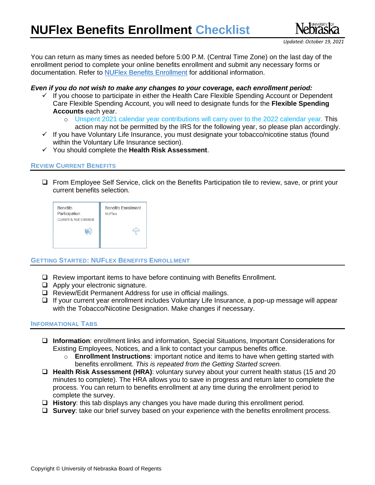

You can return as many times as needed before 5:00 P.M. (Central Time Zone) on the last day of the enrollment period to complete your online benefits enrollment and submit any necessary forms or documentation. Refer to [NUFlex Benefits](https://nebraska.edu/faculty-and-staff/health-benefits/summary) Enrollment for additional information.

# *Even if you do not wish to make any changes to your coverage, each enrollment period:*

- $\checkmark$  If you choose to participate in either the Health Care Flexible Spending Account or Dependent Care Flexible Spending Account, you will need to designate funds for the **Flexible Spending Accounts** each year.
	- o Unspent 2021 calendar year contributions will carry over to the 2022 calendar year. This action may not be permitted by the IRS for the following year, so please plan accordingly.
- ✓ If you have Voluntary Life Insurance, you must designate your tobacco/nicotine status (found within the Voluntary Life Insurance section).
- ✓ You should complete the **Health Risk Assessment**.

## **REVIEW CURRENT BENEFITS**

❑ From Employee Self Service, click on the Benefits Participation tile to review, save, or print your current benefits selection.

| <b>Benefits</b><br>Participation<br>Current & Not Enrolled | <b>Benefits Enrollment</b><br><b>NUFlex</b> |
|------------------------------------------------------------|---------------------------------------------|
|                                                            |                                             |

## **GETTING STARTED: NUFLEX BENEFITS ENROLLMENT**

- ❑ Review important items to have before continuing with Benefits Enrollment.
- ❑ Apply your electronic signature.
- ❑ Review/Edit Permanent Address for use in official mailings.
- ❑ If your current year enrollment includes Voluntary Life Insurance, a pop-up message will appear with the Tobacco/Nicotine Designation. Make changes if necessary.

## **INFORMATIONAL TABS**

- ❑ **Information**: enrollment links and information, Special Situations, Important Considerations for Existing Employees, Notices, and a link to contact your campus benefits office.
	- o **Enrollment Instructions**: important notice and items to have when getting started with benefits enrollment. *This is repeated from the Getting Started screen.*
- ❑ **Health Risk Assessment (HRA)**: voluntary survey about your current health status (15 and 20 minutes to complete). The HRA allows you to save in progress and return later to complete the process. You can return to benefits enrollment at any time during the enrollment period to complete the survey.
- ❑ **History**: this tab displays any changes you have made during this enrollment period.
- ❑ **Survey**: take our brief survey based on your experience with the benefits enrollment process.